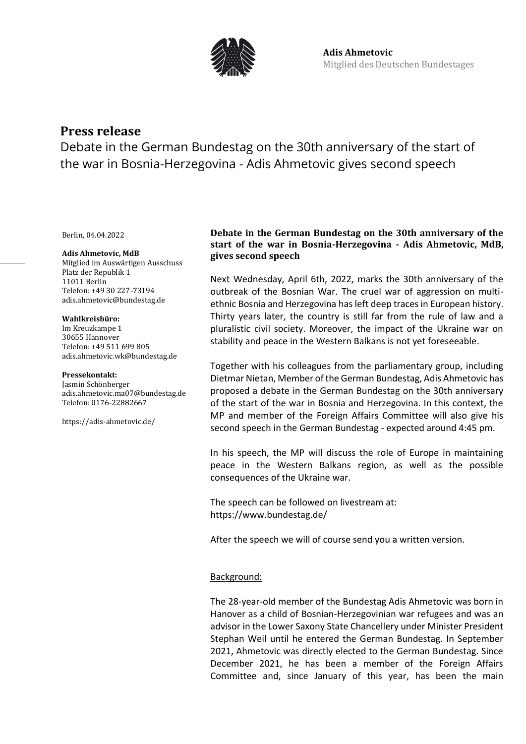

# **Press release**

Debate in the German Bundestag on the 30th anniversary of the start of the war in Bosnia-Herzegovina - Adis Ahmetovic gives second speech

Berlin, 04.04.2022

#### **Adis Ahmetovic, MdB**

Mitglied im Auswärtigen Ausschuss Platz der Republik 1 11011 Berlin Telefon: +49 30 227-73194 adis.ahmetovic@bundestag.de

#### **Wahlkreisbüro:**

Im Kreuzkampe 1 30655 Hannover Telefon: +49 511 699 805 [adis.ahmetovic.wk@bundestag.de](mailto:adis.ahmetovic.wk@bundestag.de)

#### **Pressekontakt:**

Jasmin Schönberger adis.ahmetovic.ma07@bundestag.de Telefon[: 0176-22882667](mailto:adis.ahmetovic.wk@bundestag.de)

<https://adis-ahmetovic.de/>

## **Debate in the German Bundestag on the 30th anniversary of the start of the war in Bosnia-Herzegovina - Adis Ahmetovic, MdB, gives second speech**

Next Wednesday, April 6th, 2022, marks the 30th anniversary of the outbreak of the Bosnian War. The cruel war of aggression on multiethnic Bosnia and Herzegovina has left deep traces in European history. Thirty years later, the country is still far from the rule of law and a pluralistic civil society. Moreover, the impact of the Ukraine war on stability and peace in the Western Balkans is not yet foreseeable.

Together with his colleagues from the parliamentary group, including Dietmar Nietan, Member of the German Bundestag, Adis Ahmetovic has proposed a debate in the German Bundestag on the 30th anniversary of the start of the war in Bosnia and Herzegovina. In this context, the MP and member of the Foreign Affairs Committee will also give his second speech in the German Bundestag - expected around 4:45 pm.

In his speech, the MP will discuss the role of Europe in maintaining peace in the Western Balkans region, as well as the possible consequences of the Ukraine war.

The speech can be followed on livestream at: https://www.bundestag.de/

After the speech we will of course send you a written version.

### Background:

The 28-year-old member of the Bundestag Adis Ahmetovic was born in Hanover as a child of Bosnian-Herzegovinian war refugees and was an advisor in the Lower Saxony State Chancellery under Minister President Stephan Weil until he entered the German Bundestag. In September 2021, Ahmetovic was directly elected to the German Bundestag. Since December 2021, he has been a member of the Foreign Affairs Committee and, since January of this year, has been the main